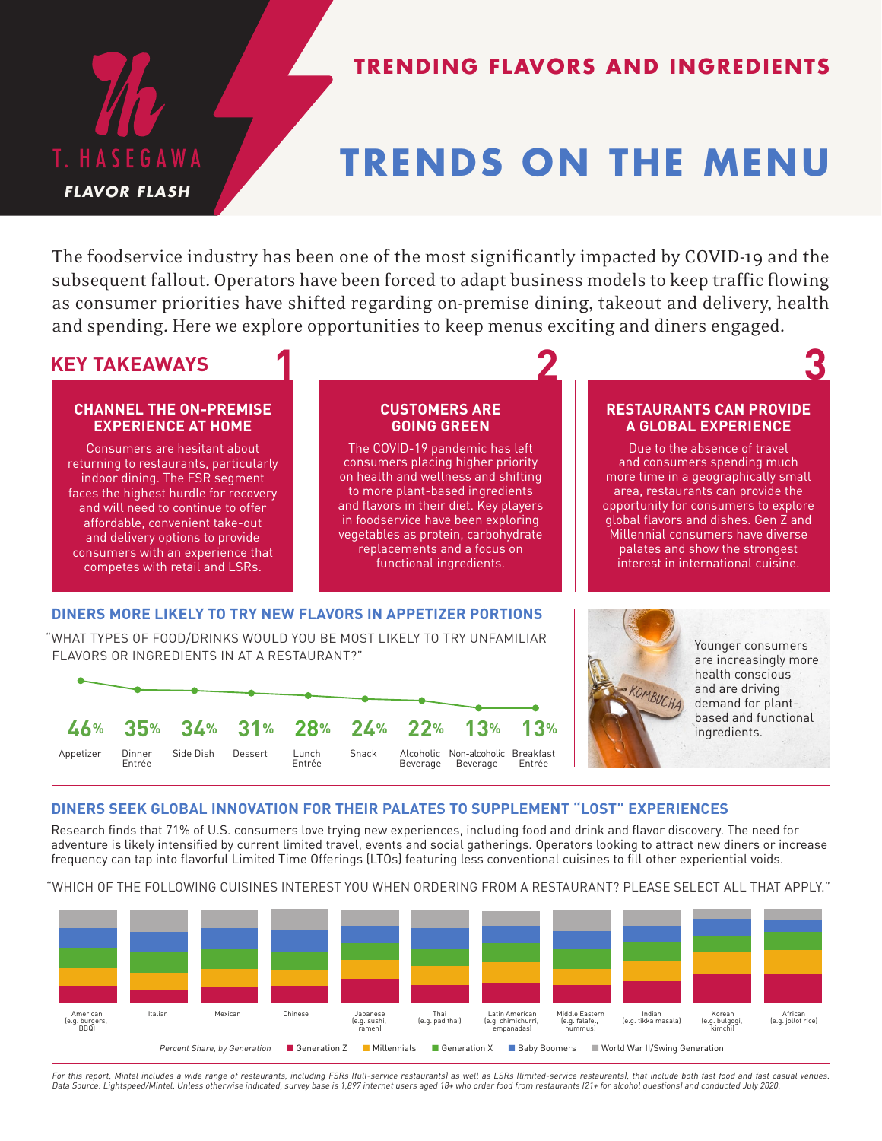

# **TRENDING FLAVORS AND INGREDIENTS**

# **TRENDS ON THE MENU**

The foodservice industry has been one of the most significantly impacted by COVID-19 and the subsequent fallout. Operators have been forced to adapt business models to keep traffic flowing as consumer priorities have shifted regarding on-premise dining, takeout and delivery, health and spending. Here we explore opportunities to keep menus exciting and diners engaged.

# **KEY TAKEAWAYS 2 3**

### **CHANNEL THE ON-PREMISE EXPERIENCE AT HOME**

Consumers are hesitant about returning to restaurants, particularly indoor dining. The FSR segment faces the highest hurdle for recovery and will need to continue to offer affordable, convenient take-out and delivery options to provide consumers with an experience that competes with retail and LSRs.

#### **CUSTOMERS ARE GOING GREEN**

The COVID-19 pandemic has left consumers placing higher priority on health and wellness and shifting to more plant-based ingredients and flavors in their diet. Key players in foodservice have been exploring vegetables as protein, carbohydrate replacements and a focus on functional ingredients.

# **DINERS MORE LIKELY TO TRY NEW FLAVORS IN APPETIZER PORTIONS**

**1**

"WHAT TYPES OF FOOD/DRINKS WOULD YOU BE MOST LIKELY TO TRY UNFAMILIAR FLAVORS OR INGREDIENTS IN AT A RESTAURANT?"





Younger consumers are increasingly more health conscious and are driving demand for plantbased and functional ingredients.

**RESTAURANTS CAN PROVIDE A GLOBAL EXPERIENCE** Due to the absence of travel and consumers spending much more time in a geographically small area, restaurants can provide the opportunity for consumers to explore global flavors and dishes. Gen Z and Millennial consumers have diverse palates and show the strongest interest in international cuisine.

# **DINERS SEEK GLOBAL INNOVATION FOR THEIR PALATES TO SUPPLEMENT "LOST" EXPERIENCES**

Research finds that 71% of U.S. consumers love trying new experiences, including food and drink and flavor discovery. The need for adventure is likely intensified by current limited travel, events and social gatherings. Operators looking to attract new diners or increase frequency can tap into flavorful Limited Time Offerings (LTOs) featuring less conventional cuisines to fill other experiential voids.

"WHICH OF THE FOLLOWING CUISINES INTEREST YOU WHEN ORDERING FROM A RESTAURANT? PLEASE SELECT ALL THAT APPLY."



For this report, Mintel includes a wide range of restaurants, including FSRs (full-service restaurants) as well as LSRs (limited-service restaurants), that include both fast food and fast casual venues. Data Source: Lightspeed/Mintel. Unless otherwise indicated, survey base is 1,897 internet users aged 18+ who order food from restaurants (21+ for alcohol questions) and conducted July 2020.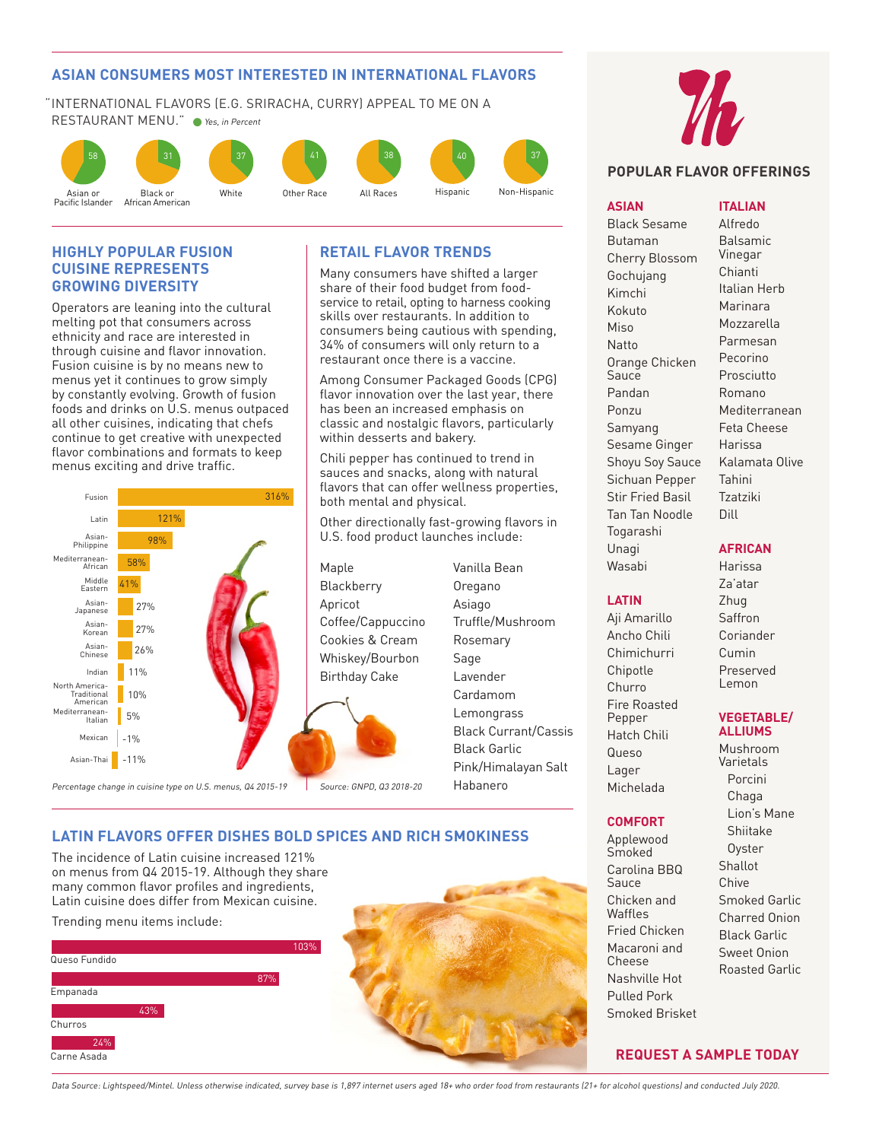## **ASIAN CONSUMERS MOST INTERESTED IN INTERNATIONAL FLAVORS**

"INTERNATIONAL FLAVORS (E.G. SRIRACHA, CURRY) APPEAL TO ME ON A RESTAURANT MENU." • Yes, in Percent



#### **HIGHLY POPULAR FUSION CUISINE REPRESENTS GROWING DIVERSITY**

Operators are leaning into the cultural melting pot that consumers across ethnicity and race are interested in through cuisine and flavor innovation. Fusion cuisine is by no means new to menus yet it continues to grow simply by constantly evolving. Growth of fusion foods and drinks on U.S. menus outpaced all other cuisines, indicating that chefs continue to get creative with unexpected flavor combinations and formats to keep menus exciting and drive traffic.

34 2022 - 2022 - 2022 - 2022 - 2022 - 2022 - 2022 - 2022 - 2022 - 2022 - 2022 - 2022 - 2022 - 2022 - 2022 - 20<br>2022 - 2022 - 2022 - 2022 - 2022 - 2022 - 2022 - 2022 - 2022 - 2022 - 2022 - 2022 - 2022 - 2022 - 2022 - 2022



# **RETAIL FLAVOR TRENDS**

Many consumers have shifted a larger share of their food budget from foodservice to retail, opting to harness cooking skills over restaurants. In addition to consumers being cautious with spending, 34% of consumers will only return to a restaurant once there is a vaccine.

Among Consumer Packaged Goods (CPG) flavor innovation over the last year, there has been an increased emphasis on classic and nostalgic flavors, particularly within desserts and bakery.

Chili pepper has continued to trend in sauces and snacks, along with natural flavors that can offer wellness properties, both mental and physical.

Other directionally fast-growing flavors in U.S. food product launches include:

Maple Blackberry Apricot Coffee/Cappuccino Cookies & Cream Whiskey/Bourbon Birthday Cake



Vanilla Bean Oregano Asiago Truffle/Mushroom Rosemary Sage Lavender Cardamom **Lemongrass** Black Currant/Cassis Black Garlic Pink/Himalayan Salt Habanero

# **LATIN FLAVORS OFFER DISHES BOLD SPICES AND RICH SMOKINESS**

The incidence of Latin cuisine increased 121% on menus from Q4 2015-19. Although they share many common flavor profiles and ingredients, Latin cuisine does differ from Mexican cuisine.

Trending menu items include:







# **POPULAR FLAVOR OFFERINGS**

#### **ASIAN**

Black Sesame Butaman Cherry Blossom Gochujang Kimchi Kokuto Miso Natto Orange Chicken **Sauce** Pandan Ponzu Samyang Sesame Ginger Shoyu Soy Sauce Sichuan Pepper Stir Fried Basil Tan Tan Noodle Togarashi Unagi Wasabi

#### **ITALIAN**

Alfredo Balsamic Vinegar Chianti Italian Herb Marinara Mozzarella Parmesan Pecorino Prosciutto Romano Mediterranean Feta Cheese Harissa Kalamata Olive Tahini Tzatziki Dill

### **AFRICAN**

Harissa Za'atar Zhug Saffron Coriander Cumin Preserved Lemon

#### **VEGETABLE/ ALLIUMS**

Mushroom Varietals Porcini Chaga Lion's Mane Shiitake **Oyster** Shallot Chive Smoked Garlic Charred Onion Black Garlic Sweet Onion Roasted Garlic

**REQUEST A SAMPLE TODAY**

- **LATIN** Aji Amarillo Ancho Chili Chimichurri
- Chipotle Churro Fire Roasted Pepper Hatch Chili Queso Lager Michelada

#### **COMFORT**

Applewood Smoked Carolina BBQ **Sauce** Chicken and Waffles Fried Chicken Macaroni and Cheese Nashville Hot Pulled Pork Smoked Brisket